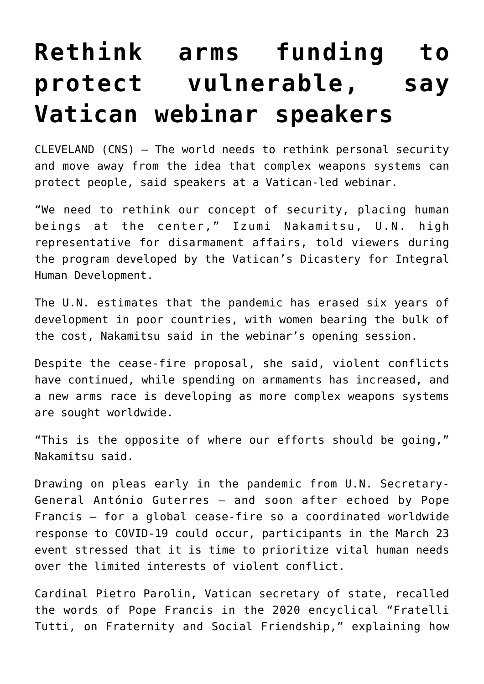## **[Rethink arms funding to](https://www.osvnews.com/2021/03/24/rethink-arms-funding-to-protect-vulnerable-say-vatican-webinar-speakers/) [protect vulnerable, say](https://www.osvnews.com/2021/03/24/rethink-arms-funding-to-protect-vulnerable-say-vatican-webinar-speakers/) [Vatican webinar speakers](https://www.osvnews.com/2021/03/24/rethink-arms-funding-to-protect-vulnerable-say-vatican-webinar-speakers/)**

CLEVELAND (CNS) — The world needs to rethink personal security and move away from the idea that complex weapons systems can protect people, said speakers at a Vatican-led webinar.

"We need to rethink our concept of security, placing human beings at the center," Izumi Nakamitsu, U.N. high representative for disarmament affairs, told viewers during the program developed by the Vatican's Dicastery for Integral Human Development.

The U.N. estimates that the pandemic has erased six years of development in poor countries, with women bearing the bulk of the cost, Nakamitsu said in the webinar's opening session.

Despite the cease-fire proposal, she said, violent conflicts have continued, while spending on armaments has increased, and a new arms race is developing as more complex weapons systems are sought worldwide.

"This is the opposite of where our efforts should be going," Nakamitsu said.

Drawing on pleas early in the pandemic from U.N. Secretary-General António Guterres — and soon after echoed by Pope Francis — for a global cease-fire so a coordinated worldwide response to COVID-19 could occur, participants in the March 23 event stressed that it is time to prioritize vital human needs over the limited interests of violent conflict.

Cardinal Pietro Parolin, Vatican secretary of state, recalled the words of Pope Francis in the 2020 encyclical "Fratelli Tutti, on Fraternity and Social Friendship," explaining how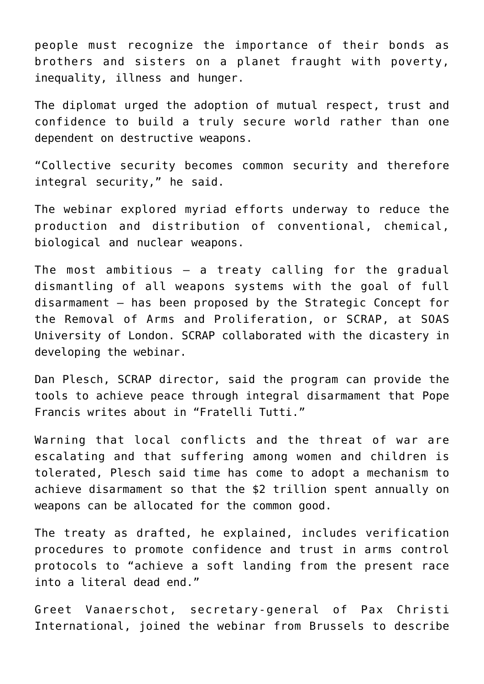people must recognize the importance of their bonds as brothers and sisters on a planet fraught with poverty, inequality, illness and hunger.

The diplomat urged the adoption of mutual respect, trust and confidence to build a truly secure world rather than one dependent on destructive weapons.

"Collective security becomes common security and therefore integral security," he said.

The webinar explored myriad efforts underway to reduce the production and distribution of conventional, chemical, biological and nuclear weapons.

The most ambitious  $-$  a treaty calling for the gradual dismantling of all weapons systems with the goal of full disarmament — has been proposed by the Strategic Concept for the Removal of Arms and Proliferation, or SCRAP, at SOAS University of London. SCRAP collaborated with the dicastery in developing the webinar.

Dan Plesch, SCRAP director, said the program can provide the tools to achieve peace through integral disarmament that Pope Francis writes about in "Fratelli Tutti."

Warning that local conflicts and the threat of war are escalating and that suffering among women and children is tolerated, Plesch said time has come to adopt a mechanism to achieve disarmament so that the \$2 trillion spent annually on weapons can be allocated for the common good.

The treaty as drafted, he explained, includes verification procedures to promote confidence and trust in arms control protocols to "achieve a soft landing from the present race into a literal dead end."

Greet Vanaerschot, secretary-general of Pax Christi International, joined the webinar from Brussels to describe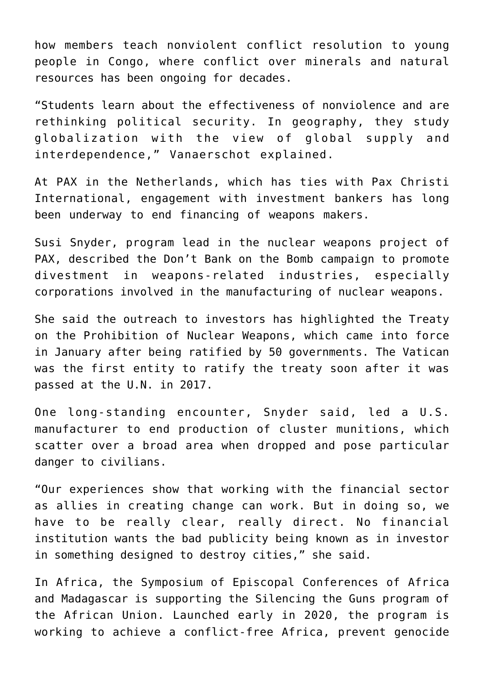how members teach nonviolent conflict resolution to young people in Congo, where conflict over minerals and natural resources has been ongoing for decades.

"Students learn about the effectiveness of nonviolence and are rethinking political security. In geography, they study globalization with the view of global supply and interdependence," Vanaerschot explained.

At PAX in the Netherlands, which has ties with Pax Christi International, engagement with investment bankers has long been underway to end financing of weapons makers.

Susi Snyder, program lead in the nuclear weapons project of PAX, described the Don't Bank on the Bomb campaign to promote divestment in weapons-related industries, especially corporations involved in the manufacturing of nuclear weapons.

She said the outreach to investors has highlighted the Treaty on the Prohibition of Nuclear Weapons, which came into force in January after being ratified by 50 governments. The Vatican was the first entity to ratify the treaty soon after it was passed at the U.N. in 2017.

One long-standing encounter, Snyder said, led a U.S. manufacturer to end production of cluster munitions, which scatter over a broad area when dropped and pose particular danger to civilians.

"Our experiences show that working with the financial sector as allies in creating change can work. But in doing so, we have to be really clear, really direct. No financial institution wants the bad publicity being known as in investor in something designed to destroy cities," she said.

In Africa, the Symposium of Episcopal Conferences of Africa and Madagascar is supporting the Silencing the Guns program of the African Union. Launched early in 2020, the program is working to achieve a conflict-free Africa, prevent genocide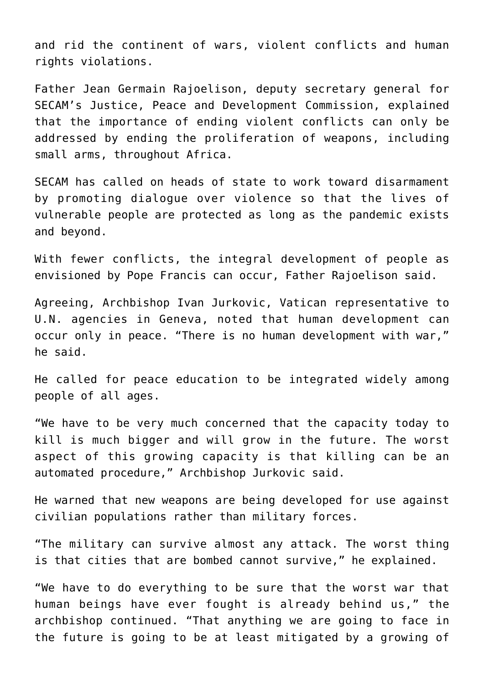and rid the continent of wars, violent conflicts and human rights violations.

Father Jean Germain Rajoelison, deputy secretary general for SECAM's Justice, Peace and Development Commission, explained that the importance of ending violent conflicts can only be addressed by ending the proliferation of weapons, including small arms, throughout Africa.

SECAM has called on heads of state to work toward disarmament by promoting dialogue over violence so that the lives of vulnerable people are protected as long as the pandemic exists and beyond.

With fewer conflicts, the integral development of people as envisioned by Pope Francis can occur, Father Rajoelison said.

Agreeing, Archbishop Ivan Jurkovic, Vatican representative to U.N. agencies in Geneva, noted that human development can occur only in peace. "There is no human development with war," he said.

He called for peace education to be integrated widely among people of all ages.

"We have to be very much concerned that the capacity today to kill is much bigger and will grow in the future. The worst aspect of this growing capacity is that killing can be an automated procedure," Archbishop Jurkovic said.

He warned that new weapons are being developed for use against civilian populations rather than military forces.

"The military can survive almost any attack. The worst thing is that cities that are bombed cannot survive," he explained.

"We have to do everything to be sure that the worst war that human beings have ever fought is already behind us," the archbishop continued. "That anything we are going to face in the future is going to be at least mitigated by a growing of